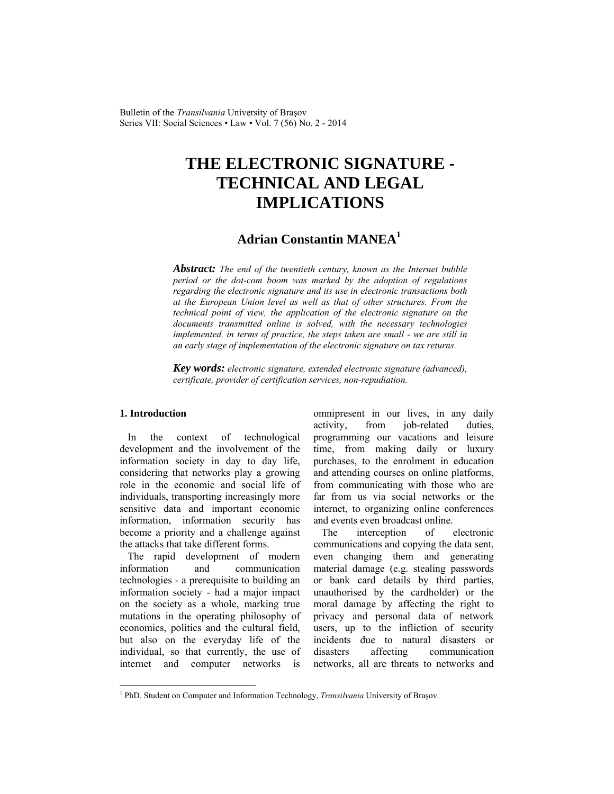Bulletin of the *Transilvania* University of Braşov Series VII: Social Sciences • Law • Vol. 7 (56) No. 2 - 2014

# **THE ELECTRONIC SIGNATURE - TECHNICAL AND LEGAL IMPLICATIONS**

# **Adrian Constantin MANEA<sup>1</sup>**

*Abstract: The end of the twentieth century, known as the Internet bubble period or the dot-com boom was marked by the adoption of regulations regarding the electronic signature and its use in electronic transactions both at the European Union level as well as that of other structures. From the technical point of view, the application of the electronic signature on the documents transmitted online is solved, with the necessary technologies implemented, in terms of practice, the steps taken are small - we are still in an early stage of implementation of the electronic signature on tax returns.* 

*Key words: electronic signature, extended electronic signature (advanced), certificate, provider of certification services, non-repudiation.*

## **1. Introduction**

 $\overline{a}$ 

In the context of technological development and the involvement of the information society in day to day life, considering that networks play a growing role in the economic and social life of individuals, transporting increasingly more sensitive data and important economic information, information security has become a priority and a challenge against the attacks that take different forms.

The rapid development of modern information and communication technologies - a prerequisite to building an information society - had a major impact on the society as a whole, marking true mutations in the operating philosophy of economics, politics and the cultural field, but also on the everyday life of the individual, so that currently, the use of internet and computer networks is omnipresent in our lives, in any daily activity, from job-related duties, programming our vacations and leisure time, from making daily or luxury purchases, to the enrolment in education and attending courses on online platforms, from communicating with those who are far from us via social networks or the internet, to organizing online conferences and events even broadcast online.

The interception of electronic communications and copying the data sent, even changing them and generating material damage (e.g. stealing passwords or bank card details by third parties, unauthorised by the cardholder) or the moral damage by affecting the right to privacy and personal data of network users, up to the infliction of security incidents due to natural disasters or disasters affecting communication networks, all are threats to networks and

<sup>&</sup>lt;sup>1</sup> PhD. Student on Computer and Information Technology, *Transilvania* University of Brașov.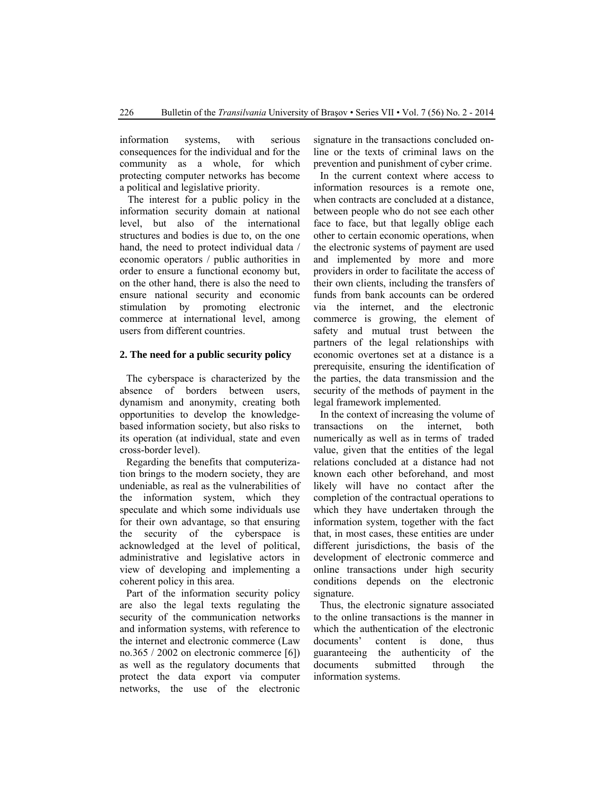information systems, with serious consequences for the individual and for the community as a whole, for which protecting computer networks has become a political and legislative priority.

The interest for a public policy in the information security domain at national level, but also of the international structures and bodies is due to, on the one hand, the need to protect individual data / economic operators / public authorities in order to ensure a functional economy but, on the other hand, there is also the need to ensure national security and economic stimulation by promoting electronic commerce at international level, among users from different countries.

#### **2. The need for a public security policy**

The cyberspace is characterized by the absence of borders between users, dynamism and anonymity, creating both opportunities to develop the knowledgebased information society, but also risks to its operation (at individual, state and even cross-border level).

Regarding the benefits that computerization brings to the modern society, they are undeniable, as real as the vulnerabilities of the information system, which they speculate and which some individuals use for their own advantage, so that ensuring the security of the cyberspace is acknowledged at the level of political, administrative and legislative actors in view of developing and implementing a coherent policy in this area.

Part of the information security policy are also the legal texts regulating the security of the communication networks and information systems, with reference to the internet and electronic commerce (Law no.365 / 2002 on electronic commerce [6]) as well as the regulatory documents that protect the data export via computer networks, the use of the electronic signature in the transactions concluded online or the texts of criminal laws on the prevention and punishment of cyber crime.

In the current context where access to information resources is a remote one, when contracts are concluded at a distance, between people who do not see each other face to face, but that legally oblige each other to certain economic operations, when the electronic systems of payment are used and implemented by more and more providers in order to facilitate the access of their own clients, including the transfers of funds from bank accounts can be ordered via the internet, and the electronic commerce is growing, the element of safety and mutual trust between the partners of the legal relationships with economic overtones set at a distance is a prerequisite, ensuring the identification of the parties, the data transmission and the security of the methods of payment in the legal framework implemented.

In the context of increasing the volume of transactions on the internet, both numerically as well as in terms of traded value, given that the entities of the legal relations concluded at a distance had not known each other beforehand, and most likely will have no contact after the completion of the contractual operations to which they have undertaken through the information system, together with the fact that, in most cases, these entities are under different jurisdictions, the basis of the development of electronic commerce and online transactions under high security conditions depends on the electronic signature.

Thus, the electronic signature associated to the online transactions is the manner in which the authentication of the electronic documents' content is done, thus guaranteeing the authenticity of the documents submitted through the information systems.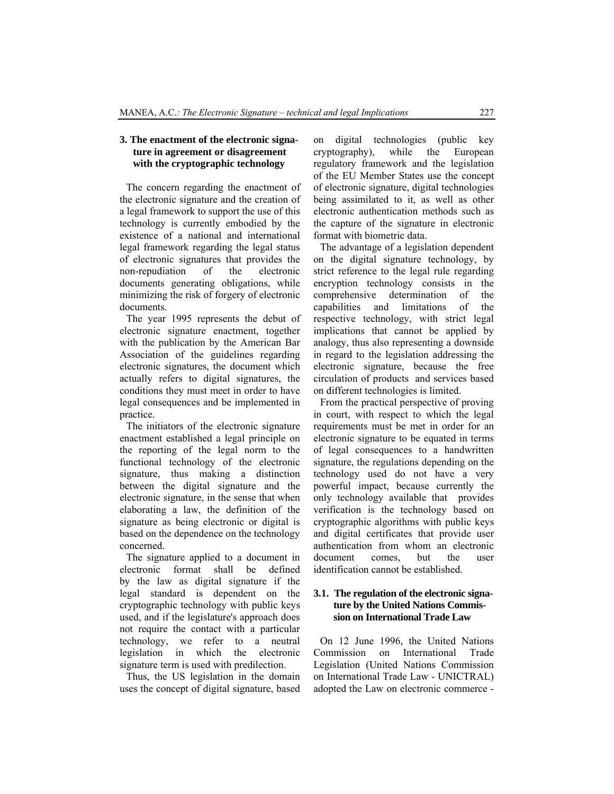## **3. The enactment of the electronic signature in agreement or disagreement with the cryptographic technology**

The concern regarding the enactment of the electronic signature and the creation of a legal framework to support the use of this technology is currently embodied by the existence of a national and international legal framework regarding the legal status of electronic signatures that provides the non-repudiation of the electronic documents generating obligations, while minimizing the risk of forgery of electronic documents.

The year 1995 represents the debut of electronic signature enactment, together with the publication by the American Bar Association of the guidelines regarding electronic signatures, the document which actually refers to digital signatures, the conditions they must meet in order to have legal consequences and be implemented in practice.

The initiators of the electronic signature enactment established a legal principle on the reporting of the legal norm to the functional technology of the electronic signature, thus making a distinction between the digital signature and the electronic signature, in the sense that when elaborating a law, the definition of the signature as being electronic or digital is based on the dependence on the technology concerned.

The signature applied to a document in electronic format shall be defined by the law as digital signature if the legal standard is dependent on the cryptographic technology with public keys used, and if the legislature's approach does not require the contact with a particular technology, we refer to a neutral legislation in which the electronic signature term is used with predilection.

Thus, the US legislation in the domain uses the concept of digital signature, based on digital technologies (public key cryptography), while the European regulatory framework and the legislation of the EU Member States use the concept of electronic signature, digital technologies being assimilated to it, as well as other electronic authentication methods such as the capture of the signature in electronic format with biometric data.

The advantage of a legislation dependent on the digital signature technology, by strict reference to the legal rule regarding encryption technology consists in the comprehensive determination of the capabilities and limitations of the respective technology, with strict legal implications that cannot be applied by analogy, thus also representing a downside in regard to the legislation addressing the electronic signature, because the free circulation of products and services based on different technologies is limited.

From the practical perspective of proving in court, with respect to which the legal requirements must be met in order for an electronic signature to be equated in terms of legal consequences to a handwritten signature, the regulations depending on the technology used do not have a very powerful impact, because currently the only technology available that provides verification is the technology based on cryptographic algorithms with public keys and digital certificates that provide user authentication from whom an electronic document comes, but the user identification cannot be established.

#### **3.1. The regulation of the electronic signature by the United Nations Commission on International Trade Law**

On 12 June 1996, the United Nations Commission on International Trade Legislation (United Nations Commission on International Trade Law - UNICTRAL) adopted the Law on electronic commerce -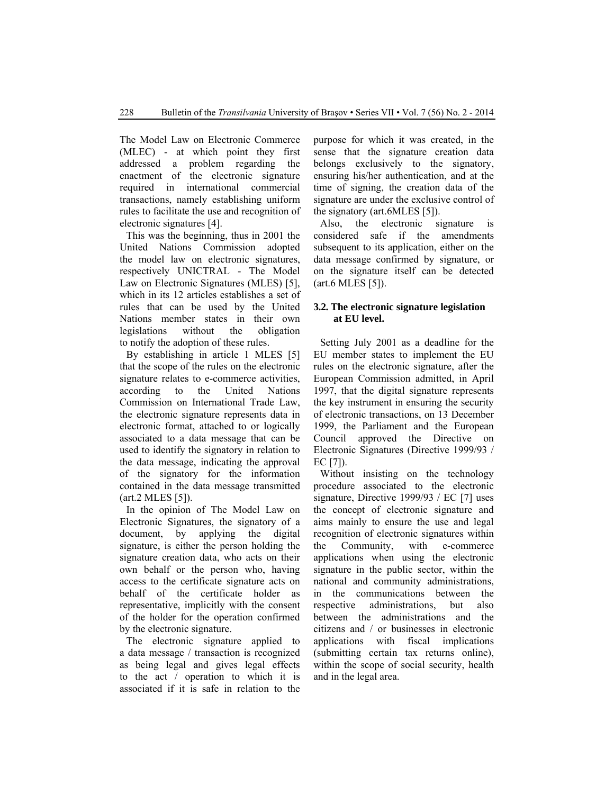The Model Law on Electronic Commerce (MLEC) - at which point they first addressed a problem regarding the enactment of the electronic signature required in international commercial transactions, namely establishing uniform rules to facilitate the use and recognition of electronic signatures [4].

This was the beginning, thus in 2001 the United Nations Commission adopted the model law on electronic signatures, respectively UNICTRAL - The Model Law on Electronic Signatures (MLES) [5], which in its 12 articles establishes a set of rules that can be used by the United Nations member states in their own legislations without the obligation to notify the adoption of these rules.

By establishing in article 1 MLES [5] that the scope of the rules on the electronic signature relates to e-commerce activities, according to the United Nations Commission on International Trade Law, the electronic signature represents data in electronic format, attached to or logically associated to a data message that can be used to identify the signatory in relation to the data message, indicating the approval of the signatory for the information contained in the data message transmitted (art.2 MLES [5]).

In the opinion of The Model Law on Electronic Signatures, the signatory of a document, by applying the digital signature, is either the person holding the signature creation data, who acts on their own behalf or the person who, having access to the certificate signature acts on behalf of the certificate holder as representative, implicitly with the consent of the holder for the operation confirmed by the electronic signature.

The electronic signature applied to a data message / transaction is recognized as being legal and gives legal effects to the act / operation to which it is associated if it is safe in relation to the purpose for which it was created, in the sense that the signature creation data belongs exclusively to the signatory, ensuring his/her authentication, and at the time of signing, the creation data of the signature are under the exclusive control of the signatory (art.6MLES [5]).

Also, the electronic signature is considered safe if the amendments subsequent to its application, either on the data message confirmed by signature, or on the signature itself can be detected (art.6 MLES [5]).

#### **3.2. The electronic signature legislation at EU level.**

Setting July 2001 as a deadline for the EU member states to implement the EU rules on the electronic signature, after the European Commission admitted, in April 1997, that the digital signature represents the key instrument in ensuring the security of electronic transactions, on 13 December 1999, the Parliament and the European Council approved the Directive on Electronic Signatures (Directive 1999/93 / EC [7]).

Without insisting on the technology procedure associated to the electronic signature, Directive 1999/93 / EC [7] uses the concept of electronic signature and aims mainly to ensure the use and legal recognition of electronic signatures within the Community, with e-commerce applications when using the electronic signature in the public sector, within the national and community administrations, in the communications between the respective administrations, but also between the administrations and the citizens and / or businesses in electronic applications with fiscal implications (submitting certain tax returns online), within the scope of social security, health and in the legal area.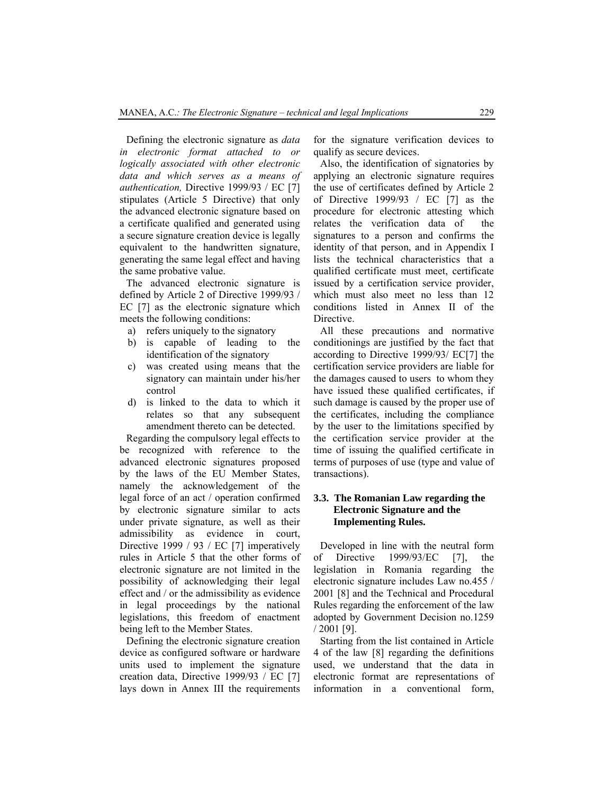Defining the electronic signature as *data in electronic format attached to or logically associated with other electronic data and which serves as a means of authentication,* Directive 1999/93 / EC [7] stipulates (Article 5 Directive) that only the advanced electronic signature based on a certificate qualified and generated using a secure signature creation device is legally equivalent to the handwritten signature, generating the same legal effect and having the same probative value.

The advanced electronic signature is defined by Article 2 of Directive 1999/93 / EC [7] as the electronic signature which meets the following conditions:

- a) refers uniquely to the signatory
- b) is capable of leading to the identification of the signatory
- c) was created using means that the signatory can maintain under his/her control
- d) is linked to the data to which it relates so that any subsequent amendment thereto can be detected.

Regarding the compulsory legal effects to be recognized with reference to the advanced electronic signatures proposed by the laws of the EU Member States, namely the acknowledgement of the legal force of an act / operation confirmed by electronic signature similar to acts under private signature, as well as their admissibility as evidence in court, Directive 1999 / 93 / EC [7] imperatively rules in Article 5 that the other forms of electronic signature are not limited in the possibility of acknowledging their legal effect and / or the admissibility as evidence in legal proceedings by the national legislations, this freedom of enactment being left to the Member States.

Defining the electronic signature creation device as configured software or hardware units used to implement the signature creation data, Directive 1999/93 / EC [7] lays down in Annex III the requirements for the signature verification devices to qualify as secure devices.

Also, the identification of signatories by applying an electronic signature requires the use of certificates defined by Article 2 of Directive 1999/93 / EC [7] as the procedure for electronic attesting which relates the verification data of the signatures to a person and confirms the identity of that person, and in Appendix I lists the technical characteristics that a qualified certificate must meet, certificate issued by a certification service provider, which must also meet no less than 12 conditions listed in Annex II of the Directive.

All these precautions and normative conditionings are justified by the fact that according to Directive 1999/93/ EC[7] the certification service providers are liable for the damages caused to users to whom they have issued these qualified certificates, if such damage is caused by the proper use of the certificates, including the compliance by the user to the limitations specified by the certification service provider at the time of issuing the qualified certificate in terms of purposes of use (type and value of transactions).

#### **3.3. The Romanian Law regarding the Electronic Signature and the Implementing Rules.**

Developed in line with the neutral form of Directive 1999/93/EC [7], the legislation in Romania regarding the electronic signature includes Law no.455 / 2001 [8] and the Technical and Procedural Rules regarding the enforcement of the law adopted by Government Decision no.1259 / 2001 [9].

Starting from the list contained in Article 4 of the law [8] regarding the definitions used, we understand that the data in electronic format are representations of information in a conventional form,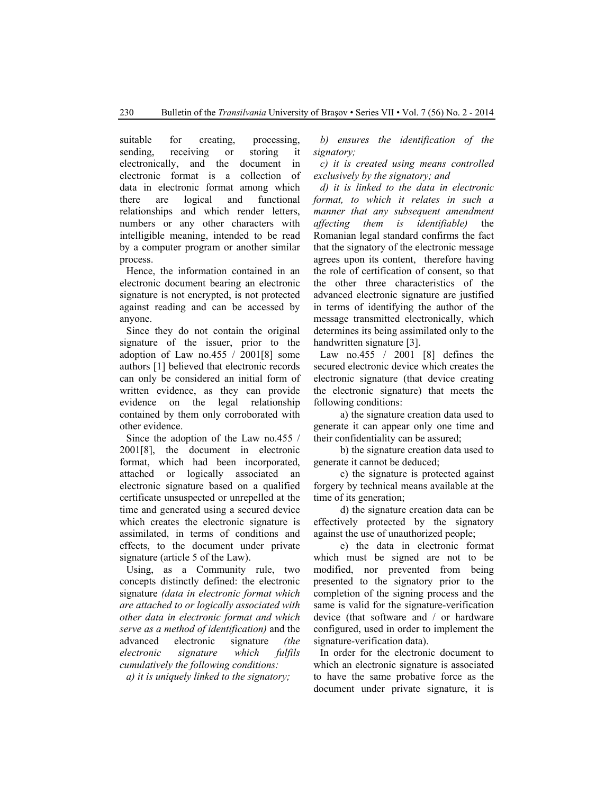suitable for creating, processing, sending, receiving or storing it electronically, and the document in electronic format is a collection of data in electronic format among which there are logical and functional relationships and which render letters, numbers or any other characters with intelligible meaning, intended to be read by a computer program or another similar process.

Hence, the information contained in an electronic document bearing an electronic signature is not encrypted, is not protected against reading and can be accessed by anyone.

Since they do not contain the original signature of the issuer, prior to the adoption of Law no.455 / 2001[8] some authors [1] believed that electronic records can only be considered an initial form of written evidence, as they can provide evidence on the legal relationship contained by them only corroborated with other evidence.

Since the adoption of the Law no.455 / 2001[8], the document in electronic format, which had been incorporated, attached or logically associated an electronic signature based on a qualified certificate unsuspected or unrepelled at the time and generated using a secured device which creates the electronic signature is assimilated, in terms of conditions and effects, to the document under private signature (article 5 of the Law).

Using, as a Community rule, two concepts distinctly defined: the electronic signature *(data in electronic format which are attached to or logically associated with other data in electronic format and which serve as a method of identification)* and the advanced electronic signature *(the electronic signature which fulfils cumulatively the following conditions:* 

*a) it is uniquely linked to the signatory;* 

*b) ensures the identification of the signatory;* 

*c) it is created using means controlled exclusively by the signatory; and* 

*d) it is linked to the data in electronic format, to which it relates in such a manner that any subsequent amendment affecting them is identifiable)* the Romanian legal standard confirms the fact that the signatory of the electronic message agrees upon its content, therefore having the role of certification of consent, so that the other three characteristics of the advanced electronic signature are justified in terms of identifying the author of the message transmitted electronically, which determines its being assimilated only to the handwritten signature [3].

Law no.455 / 2001 [8] defines the secured electronic device which creates the electronic signature (that device creating the electronic signature) that meets the following conditions:

a) the signature creation data used to generate it can appear only one time and their confidentiality can be assured;

b) the signature creation data used to generate it cannot be deduced;

c) the signature is protected against forgery by technical means available at the time of its generation;

d) the signature creation data can be effectively protected by the signatory against the use of unauthorized people;

e) the data in electronic format which must be signed are not to be modified, nor prevented from being presented to the signatory prior to the completion of the signing process and the same is valid for the signature-verification device (that software and / or hardware configured, used in order to implement the signature-verification data).

In order for the electronic document to which an electronic signature is associated to have the same probative force as the document under private signature, it is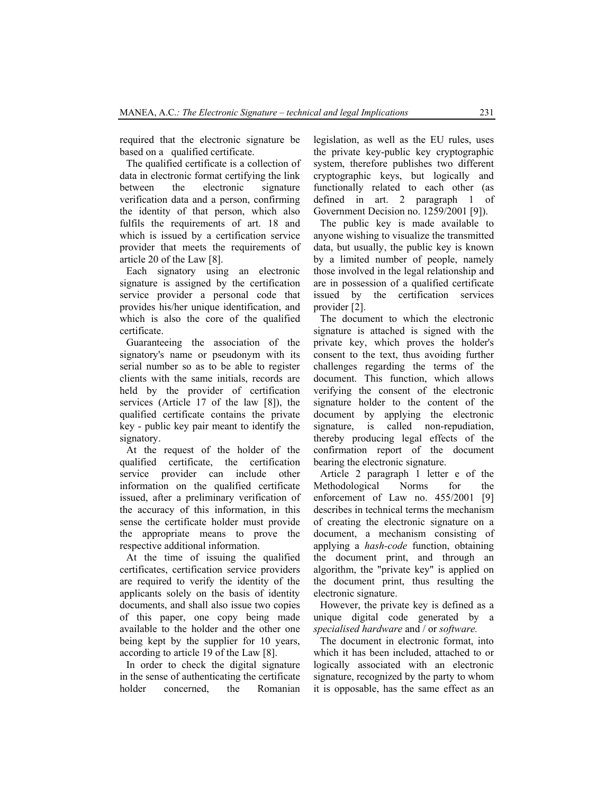required that the electronic signature be based on a qualified certificate.

The qualified certificate is a collection of data in electronic format certifying the link between the electronic signature verification data and a person, confirming the identity of that person, which also fulfils the requirements of art. 18 and which is issued by a certification service provider that meets the requirements of article 20 of the Law [8].

Each signatory using an electronic signature is assigned by the certification service provider a personal code that provides his/her unique identification, and which is also the core of the qualified certificate.

Guaranteeing the association of the signatory's name or pseudonym with its serial number so as to be able to register clients with the same initials, records are held by the provider of certification services (Article 17 of the law [8]), the qualified certificate contains the private key - public key pair meant to identify the signatory.

At the request of the holder of the qualified certificate, the certification service provider can include other information on the qualified certificate issued, after a preliminary verification of the accuracy of this information, in this sense the certificate holder must provide the appropriate means to prove the respective additional information.

At the time of issuing the qualified certificates, certification service providers are required to verify the identity of the applicants solely on the basis of identity documents, and shall also issue two copies of this paper, one copy being made available to the holder and the other one being kept by the supplier for 10 years, according to article 19 of the Law [8].

In order to check the digital signature in the sense of authenticating the certificate holder concerned, the Romanian legislation, as well as the EU rules, uses the private key-public key cryptographic system, therefore publishes two different cryptographic keys, but logically and functionally related to each other (as defined in art. 2 paragraph 1 of Government Decision no. 1259/2001 [9]).

The public key is made available to anyone wishing to visualize the transmitted data, but usually, the public key is known by a limited number of people, namely those involved in the legal relationship and are in possession of a qualified certificate issued by the certification services provider [2].

The document to which the electronic signature is attached is signed with the private key, which proves the holder's consent to the text, thus avoiding further challenges regarding the terms of the document. This function, which allows verifying the consent of the electronic signature holder to the content of the document by applying the electronic signature, is called non-repudiation, thereby producing legal effects of the confirmation report of the document bearing the electronic signature.

Article 2 paragraph 1 letter e of the Methodological Norms for the enforcement of Law no. 455/2001 [9] describes in technical terms the mechanism of creating the electronic signature on a document, a mechanism consisting of applying a *hash-code* function, obtaining the document print, and through an algorithm, the "private key" is applied on the document print, thus resulting the electronic signature.

However, the private key is defined as a unique digital code generated by a *specialised hardware* and / or *software.*

The document in electronic format, into which it has been included, attached to or logically associated with an electronic signature, recognized by the party to whom it is opposable, has the same effect as an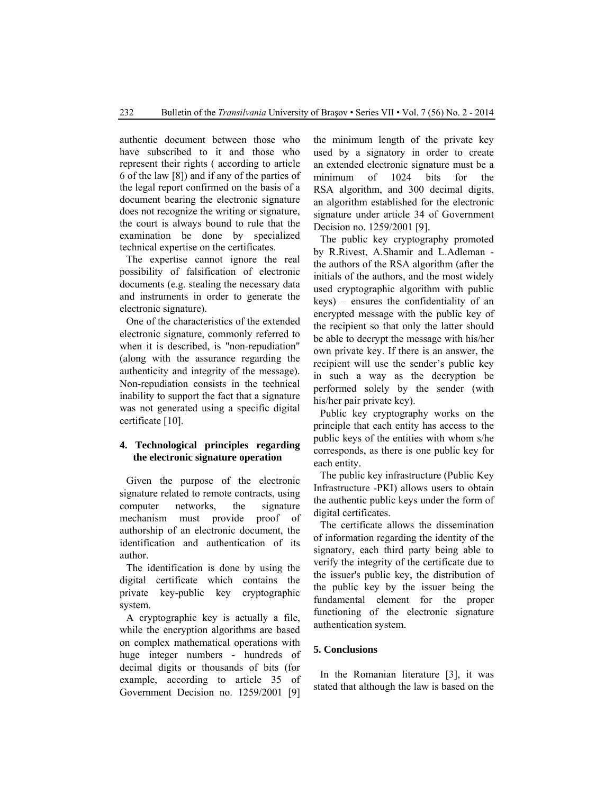authentic document between those who have subscribed to it and those who represent their rights ( according to article 6 of the law [8]) and if any of the parties of the legal report confirmed on the basis of a document bearing the electronic signature does not recognize the writing or signature, the court is always bound to rule that the examination be done by specialized technical expertise on the certificates.

The expertise cannot ignore the real possibility of falsification of electronic documents (e.g. stealing the necessary data and instruments in order to generate the electronic signature).

One of the characteristics of the extended electronic signature, commonly referred to when it is described, is "non-repudiation" (along with the assurance regarding the authenticity and integrity of the message). Non-repudiation consists in the technical inability to support the fact that a signature was not generated using a specific digital certificate [10].

# **4. Technological principles regarding the electronic signature operation**

Given the purpose of the electronic signature related to remote contracts, using computer networks, the signature mechanism must provide proof of authorship of an electronic document, the identification and authentication of its author.

The identification is done by using the digital certificate which contains the private key-public key cryptographic system.

A cryptographic key is actually a file, while the encryption algorithms are based on complex mathematical operations with huge integer numbers - hundreds of decimal digits or thousands of bits (for example, according to article 35 of Government Decision no. 1259/2001 [9]

the minimum length of the private key used by a signatory in order to create an extended electronic signature must be a minimum of 1024 bits for the RSA algorithm, and 300 decimal digits, an algorithm established for the electronic signature under article 34 of Government Decision no. 1259/2001 [9].

The public key cryptography promoted by R.Rivest, A.Shamir and L.Adleman the authors of the RSA algorithm (after the initials of the authors, and the most widely used cryptographic algorithm with public keys) – ensures the confidentiality of an encrypted message with the public key of the recipient so that only the latter should be able to decrypt the message with his/her own private key. If there is an answer, the recipient will use the sender's public key in such a way as the decryption be performed solely by the sender (with his/her pair private key).

Public key cryptography works on the principle that each entity has access to the public keys of the entities with whom s/he corresponds, as there is one public key for each entity.

The public key infrastructure (Public Key Infrastructure -PKI) allows users to obtain the authentic public keys under the form of digital certificates.

The certificate allows the dissemination of information regarding the identity of the signatory, each third party being able to verify the integrity of the certificate due to the issuer's public key, the distribution of the public key by the issuer being the fundamental element for the proper functioning of the electronic signature authentication system.

#### **5. Conclusions**

In the Romanian literature [3], it was stated that although the law is based on the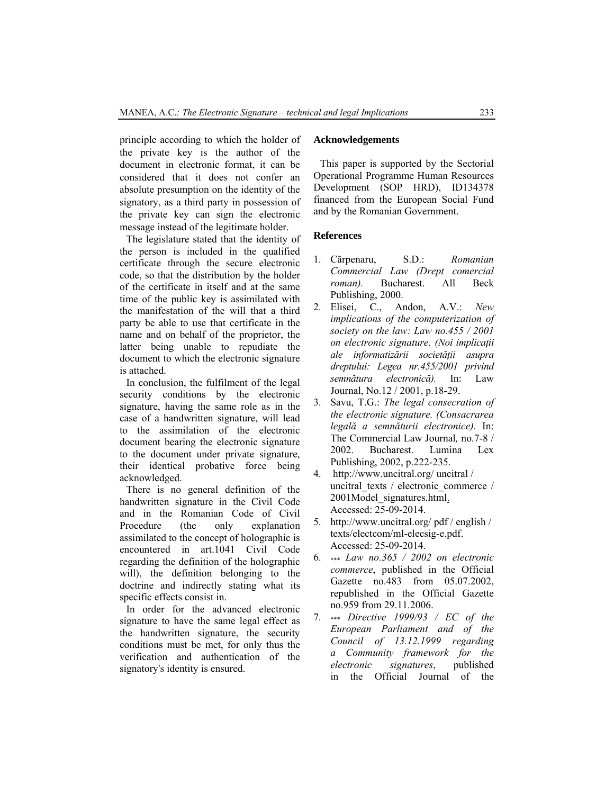principle according to which the holder of the private key is the author of the document in electronic format, it can be considered that it does not confer an absolute presumption on the identity of the signatory, as a third party in possession of the private key can sign the electronic message instead of the legitimate holder.

The legislature stated that the identity of the person is included in the qualified certificate through the secure electronic code, so that the distribution by the holder of the certificate in itself and at the same time of the public key is assimilated with the manifestation of the will that a third party be able to use that certificate in the name and on behalf of the proprietor, the latter being unable to repudiate the document to which the electronic signature is attached.

In conclusion, the fulfilment of the legal security conditions by the electronic signature, having the same role as in the case of a handwritten signature, will lead to the assimilation of the electronic document bearing the electronic signature to the document under private signature, their identical probative force being acknowledged.

There is no general definition of the handwritten signature in the Civil Code and in the Romanian Code of Civil Procedure (the only explanation assimilated to the concept of holographic is encountered in art.1041 Civil Code regarding the definition of the holographic will), the definition belonging to the doctrine and indirectly stating what its specific effects consist in.

In order for the advanced electronic signature to have the same legal effect as the handwritten signature, the security conditions must be met, for only thus the verification and authentication of the signatory's identity is ensured.

#### **Acknowledgements**

This paper is supported by the Sectorial Operational Programme Human Resources Development (SOP HRD), ID134378 financed from the European Social Fund and by the Romanian Government.

# **References**

- 1. Cărpenaru, S.D.: *Romanian Commercial Law (Drept comercial roman).* Bucharest. All Beck Publishing, 2000.
- 2. Elisei, C., Andon, A.V.: *New implications of the computerization of society on the law: Law no.455 / 2001 on electronic signature. (Noi implicaţii ale informatizării societăţii asupra dreptului: Legea nr.455/2001 privind semnătura electronică).* In: Law Journal, No.12 / 2001, p.18-29.
- 3. Savu, T.G.: *The legal consecration of the electronic signature. (Consacrarea legală a semnăturii electronice).* In: The Commercial Law Journal*,* no.7-8 / 2002. Bucharest. Lumina Lex Publishing, 2002, p.222-235.
- 4. http://www.uncitral.org/ uncitral / uncitral\_texts / electronic\_commerce / 2001Model\_signatures.html. Accessed: 25-09-2014.
- 5. http://www.uncitral.org/ pdf / english / texts/electcom/ml-elecsig-e.pdf. Accessed: 25-09-2014.
- 6. \*\*\* *Law no.365 / 2002 on electronic commerce*, published in the Official Gazette no.483 from 05.07.2002, republished in the Official Gazette no.959 from 29.11.2006.
- 7. \*\*\* *Directive 1999/93 / EC of the European Parliament and of the Council of 13.12.1999 regarding a Community framework for the electronic signatures*, published in the Official Journal of the